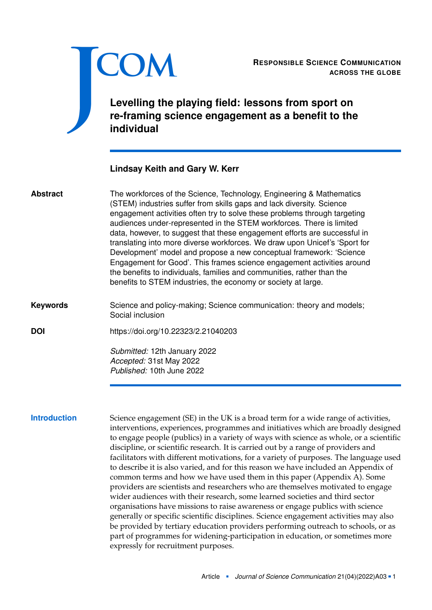<span id="page-0-0"></span>

**ACROSS THE GLOBE**

RESPONSIBLE SCIENCE COMMUNICATION<br>ACROSS THE GLOBE<br>Levelling the playing field: lessons from sport on<br>re-framing science engagement as a benefit to the **Levelling the playing field: lessons from sport on re-framing science engagement as a benefit to the individual**

# **Lindsay Keith and Gary W. Kerr**

| <b>Abstract</b>     | The workforces of the Science, Technology, Engineering & Mathematics<br>(STEM) industries suffer from skills gaps and lack diversity. Science<br>engagement activities often try to solve these problems through targeting<br>audiences under-represented in the STEM workforces. There is limited<br>data, however, to suggest that these engagement efforts are successful in<br>translating into more diverse workforces. We draw upon Unicef's 'Sport for<br>Development' model and propose a new conceptual framework: 'Science<br>Engagement for Good'. This frames science engagement activities around<br>the benefits to individuals, families and communities, rather than the<br>benefits to STEM industries, the economy or society at large.                                                                                                                                                                                                                                                                                        |
|---------------------|--------------------------------------------------------------------------------------------------------------------------------------------------------------------------------------------------------------------------------------------------------------------------------------------------------------------------------------------------------------------------------------------------------------------------------------------------------------------------------------------------------------------------------------------------------------------------------------------------------------------------------------------------------------------------------------------------------------------------------------------------------------------------------------------------------------------------------------------------------------------------------------------------------------------------------------------------------------------------------------------------------------------------------------------------|
| <b>Keywords</b>     | Science and policy-making; Science communication: theory and models;<br>Social inclusion                                                                                                                                                                                                                                                                                                                                                                                                                                                                                                                                                                                                                                                                                                                                                                                                                                                                                                                                                         |
| <b>DOI</b>          | https://doi.org/10.22323/2.21040203                                                                                                                                                                                                                                                                                                                                                                                                                                                                                                                                                                                                                                                                                                                                                                                                                                                                                                                                                                                                              |
|                     | Submitted: 12th January 2022<br>Accepted: 31st May 2022<br>Published: 10th June 2022                                                                                                                                                                                                                                                                                                                                                                                                                                                                                                                                                                                                                                                                                                                                                                                                                                                                                                                                                             |
| <b>Introduction</b> | Science engagement (SE) in the UK is a broad term for a wide range of activities,<br>interventions, experiences, programmes and initiatives which are broadly designed<br>to engage people (publics) in a variety of ways with science as whole, or a scientific<br>discipline, or scientific research. It is carried out by a range of providers and<br>facilitators with different motivations, for a variety of purposes. The language used<br>to describe it is also varied, and for this reason we have included an Appendix of<br>common terms and how we have used them in this paper (Appendix A). Some<br>providers are scientists and researchers who are themselves motivated to engage<br>wider audiences with their research, some learned societies and third sector<br>organisations have missions to raise awareness or engage publics with science<br>generally or specific scientific disciplines. Science engagement activities may also<br>be provided by tertiary education providers performing outreach to schools, or as |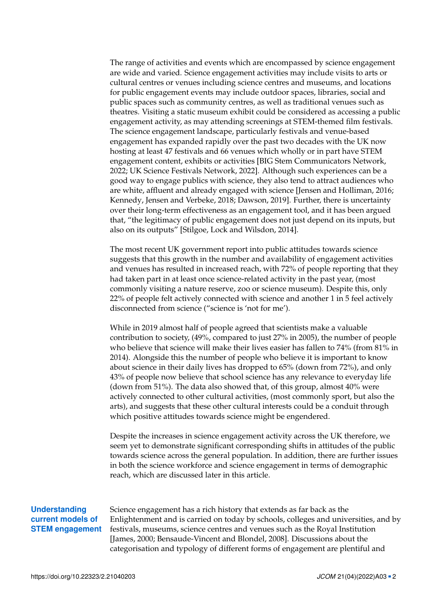The range of activities and events which are encompassed by science engagement are wide and varied. Science engagement activities may include visits to arts or cultural centres or venues including science centres and museums, and locations for public engagement events may include outdoor spaces, libraries, social and public spaces such as community centres, as well as traditional venues such as theatres. Visiting a static museum exhibit could be considered as accessing a public engagement activity, as may attending screenings at STEM-themed film festivals. The science engagement landscape, particularly festivals and venue-based engagement has expanded rapidly over the past two decades with the UK now hosting at least 47 festivals and 66 venues which wholly or in part have STEM engagement content, exhibits or activities [BIG Stem Communicators Network, [2022;](#page-19-0) UK Science Festivals Network, [2022\]](#page-23-0). Although such experiences can be a good way to engage publics with science, they also tend to attract audiences who are white, affluent and already engaged with science [Jensen and Holliman, [2016;](#page-21-0) Kennedy, Jensen and Verbeke, [2018;](#page-22-0) Dawson, [2019\]](#page-19-1). Further, there is uncertainty over their long-term effectiveness as an engagement tool, and it has been argued that, "the legitimacy of public engagement does not just depend on its inputs, but also on its outputs" [Stilgoe, Lock and Wilsdon, [2014\]](#page-23-1).

The most recent UK government report into public attitudes towards science suggests that this growth in the number and availability of engagement activities and venues has resulted in increased reach, with 72% of people reporting that they had taken part in at least once science-related activity in the past year, (most commonly visiting a nature reserve, zoo or science museum). Despite this, only 22% of people felt actively connected with science and another 1 in 5 feel actively disconnected from science ("science is 'not for me').

While in 2019 almost half of people agreed that scientists make a valuable contribution to society, (49%, compared to just 27% in 2005), the number of people who believe that science will make their lives easier has fallen to 74% (from 81% in 2014). Alongside this the number of people who believe it is important to know about science in their daily lives has dropped to 65% (down from 72%), and only 43% of people now believe that school science has any relevance to everyday life (down from 51%). The data also showed that, of this group, almost 40% were actively connected to other cultural activities, (most commonly sport, but also the arts), and suggests that these other cultural interests could be a conduit through which positive attitudes towards science might be engendered.

Despite the increases in science engagement activity across the UK therefore, we seem yet to demonstrate significant corresponding shifts in attitudes of the public towards science across the general population. In addition, there are further issues in both the science workforce and science engagement in terms of demographic reach, which are discussed later in this article.

# **Understanding current models of STEM engagement**

Science engagement has a rich history that extends as far back as the Enlightenment and is carried on today by schools, colleges and universities, and by festivals, museums, science centres and venues such as the Royal Institution [James, [2000;](#page-21-1) Bensaude-Vincent and Blondel, [2008\]](#page-19-2). Discussions about the categorisation and typology of different forms of engagement are plentiful and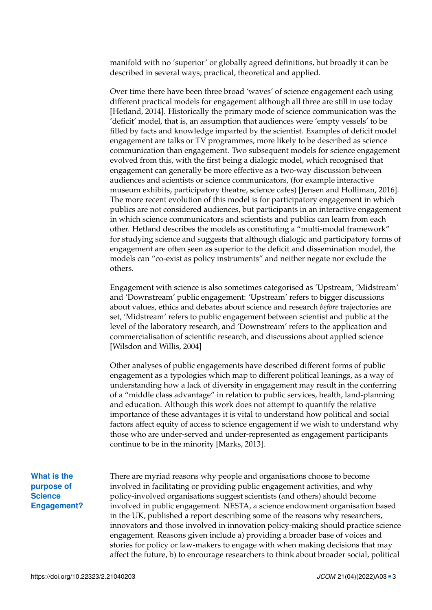manifold with no 'superior' or globally agreed definitions, but broadly it can be described in several ways; practical, theoretical and applied.

Over time there have been three broad 'waves' of science engagement each using different practical models for engagement although all three are still in use today [Hetland, [2014\]](#page-20-0). Historically the primary mode of science communication was the 'deficit' model, that is, an assumption that audiences were 'empty vessels' to be filled by facts and knowledge imparted by the scientist. Examples of deficit model engagement are talks or TV programmes, more likely to be described as science communication than engagement. Two subsequent models for science engagement evolved from this, with the first being a dialogic model, which recognised that engagement can generally be more effective as a two-way discussion between audiences and scientists or science communicators, (for example interactive museum exhibits, participatory theatre, science cafes) [Jensen and Holliman, [2016\]](#page-21-0). The more recent evolution of this model is for participatory engagement in which publics are not considered audiences, but participants in an interactive engagement in which science communicators and scientists and publics can learn from each other. Hetland describes the models as constituting a "multi-modal framework" for studying science and suggests that although dialogic and participatory forms of engagement are often seen as superior to the deficit and dissemination model, the models can "co-exist as policy instruments" and neither negate nor exclude the others.

Engagement with science is also sometimes categorised as 'Upstream, 'Midstream' and 'Downstream' public engagement: 'Upstream' refers to bigger discussions about values, ethics and debates about science and research *before* trajectories are set, 'Midstream' refers to public engagement between scientist and public at the level of the laboratory research, and 'Downstream' refers to the application and commercialisation of scientific research, and discussions about applied science [Wilsdon and Willis, [2004\]](#page-24-0)

Other analyses of public engagements have described different forms of public engagement as a typologies which map to different political leanings, as a way of understanding how a lack of diversity in engagement may result in the conferring of a "middle class advantage" in relation to public services, health, land-planning and education. Although this work does not attempt to quantify the relative importance of these advantages it is vital to understand how political and social factors affect equity of access to science engagement if we wish to understand why those who are under-served and under-represented as engagement participants continue to be in the minority [Marks, [2013\]](#page-22-1).

**What is the purpose of Science Engagement?** There are myriad reasons why people and organisations choose to become involved in facilitating or providing public engagement activities, and why policy-involved organisations suggest scientists (and others) should become involved in public engagement. NESTA, a science endowment organisation based in the UK, published a report describing some of the reasons why researchers, innovators and those involved in innovation policy-making should practice science engagement. Reasons given include a) providing a broader base of voices and stories for policy or law-makers to engage with when making decisions that may affect the future, b) to encourage researchers to think about broader social, political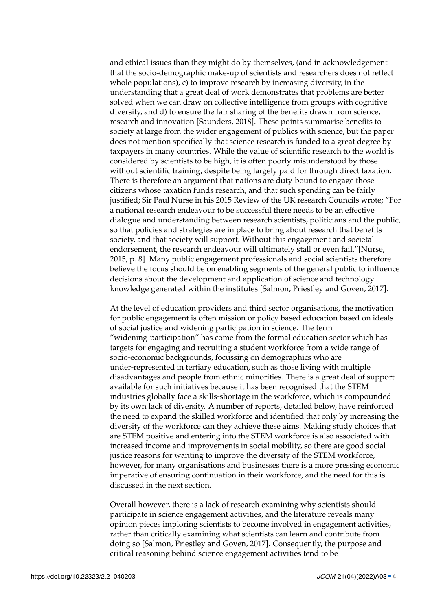and ethical issues than they might do by themselves, (and in acknowledgement that the socio-demographic make-up of scientists and researchers does not reflect whole populations), c) to improve research by increasing diversity, in the understanding that a great deal of work demonstrates that problems are better solved when we can draw on collective intelligence from groups with cognitive diversity, and d) to ensure the fair sharing of the benefits drawn from science, research and innovation [Saunders, [2018\]](#page-23-2). These points summarise benefits to society at large from the wider engagement of publics with science, but the paper does not mention specifically that science research is funded to a great degree by taxpayers in many countries. While the value of scientific research to the world is considered by scientists to be high, it is often poorly misunderstood by those without scientific training, despite being largely paid for through direct taxation. There is therefore an argument that nations are duty-bound to engage those citizens whose taxation funds research, and that such spending can be fairly justified; Sir Paul Nurse in his 2015 Review of the UK research Councils wrote; "For a national research endeavour to be successful there needs to be an effective dialogue and understanding between research scientists, politicians and the public, so that policies and strategies are in place to bring about research that benefits society, and that society will support. Without this engagement and societal endorsement, the research endeavour will ultimately stall or even fail,"[Nurse, [2015,](#page-22-2) p. 8]. Many public engagement professionals and social scientists therefore believe the focus should be on enabling segments of the general public to influence decisions about the development and application of science and technology knowledge generated within the institutes [Salmon, Priestley and Goven, [2017\]](#page-23-3).

At the level of education providers and third sector organisations, the motivation for public engagement is often mission or policy based education based on ideals of social justice and widening participation in science. The term "widening-participation" has come from the formal education sector which has targets for engaging and recruiting a student workforce from a wide range of socio-economic backgrounds, focussing on demographics who are under-represented in tertiary education, such as those living with multiple disadvantages and people from ethnic minorities. There is a great deal of support available for such initiatives because it has been recognised that the STEM industries globally face a skills-shortage in the workforce, which is compounded by its own lack of diversity. A number of reports, detailed below, have reinforced the need to expand the skilled workforce and identified that only by increasing the diversity of the workforce can they achieve these aims. Making study choices that are STEM positive and entering into the STEM workforce is also associated with increased income and improvements in social mobility, so there are good social justice reasons for wanting to improve the diversity of the STEM workforce, however, for many organisations and businesses there is a more pressing economic imperative of ensuring continuation in their workforce, and the need for this is discussed in the next section.

Overall however, there is a lack of research examining why scientists should participate in science engagement activities, and the literature reveals many opinion pieces imploring scientists to become involved in engagement activities, rather than critically examining what scientists can learn and contribute from doing so [Salmon, Priestley and Goven, [2017\]](#page-23-3). Consequently, the purpose and critical reasoning behind science engagement activities tend to be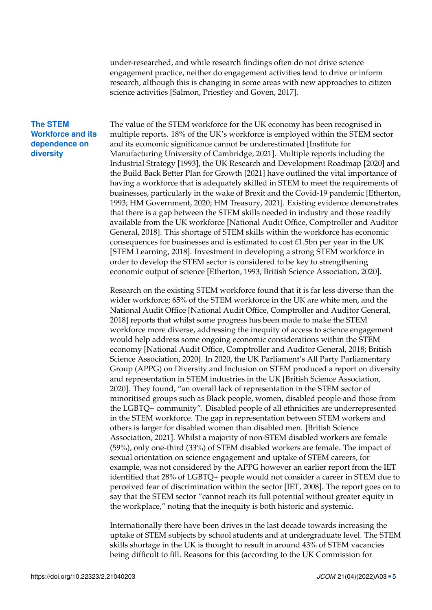under-researched, and while research findings often do not drive science engagement practice, neither do engagement activities tend to drive or inform research, although this is changing in some areas with new approaches to citizen science activities [Salmon, Priestley and Goven, [2017\]](#page-23-3).

## **The STEM Workforce and its dependence on diversity**

The value of the STEM workforce for the UK economy has been recognised in multiple reports. 18% of the UK's workforce is employed within the STEM sector and its economic significance cannot be underestimated [Institute for Manufacturing University of Cambridge, [2021\]](#page-21-2). Multiple reports including the Industrial Strategy [\[1993\]](#page-20-1), the UK Research and Development Roadmap [\[2020\]](#page-20-2) and the Build Back Better Plan for Growth [\[2021\]](#page-20-3) have outlined the vital importance of having a workforce that is adequately skilled in STEM to meet the requirements of businesses, particularly in the wake of Brexit and the Covid-19 pandemic [Etherton, [1993;](#page-20-1) HM Government, [2020;](#page-20-2) HM Treasury, [2021\]](#page-20-3). Existing evidence demonstrates that there is a gap between the STEM skills needed in industry and those readily available from the UK workforce [National Audit Office, Comptroller and Auditor General, [2018\]](#page-22-3). This shortage of STEM skills within the workforce has economic consequences for businesses and is estimated to cost £1.5bn per year in the UK [STEM Learning, [2018\]](#page-23-4). Investment in developing a strong STEM workforce in order to develop the STEM sector is considered to be key to strengthening economic output of science [Etherton, [1993;](#page-20-1) British Science Association, [2020\]](#page-19-3).

Research on the existing STEM workforce found that it is far less diverse than the wider workforce; 65% of the STEM workforce in the UK are white men, and the National Audit Office [National Audit Office, Comptroller and Auditor General, [2018\]](#page-22-3) reports that whilst some progress has been made to make the STEM workforce more diverse, addressing the inequity of access to science engagement would help address some ongoing economic considerations within the STEM economy [National Audit Office, Comptroller and Auditor General, [2018;](#page-22-3) British Science Association, [2020\]](#page-19-3). In 2020, the UK Parliament's All Party Parliamentary Group (APPG) on Diversity and Inclusion on STEM produced a report on diversity and representation in STEM industries in the UK [British Science Association, [2020\]](#page-19-3). They found, "an overall lack of representation in the STEM sector of minoritised groups such as Black people, women, disabled people and those from the LGBTQ+ community". Disabled people of all ethnicities are underrepresented in the STEM workforce. The gap in representation between STEM workers and others is larger for disabled women than disabled men. [British Science Association, [2021\]](#page-19-4). Whilst a majority of non-STEM disabled workers are female (59%), only one-third (33%) of STEM disabled workers are female. The impact of sexual orientation on science engagement and uptake of STEM careers, for example, was not considered by the APPG however an earlier report from the IET identified that 28% of LGBTQ+ people would not consider a career in STEM due to perceived fear of discrimination within the sector [IET, [2008\]](#page-21-3). The report goes on to say that the STEM sector "cannot reach its full potential without greater equity in the workplace," noting that the inequity is both historic and systemic.

Internationally there have been drives in the last decade towards increasing the uptake of STEM subjects by school students and at undergraduate level. The STEM skills shortage in the UK is thought to result in around 43% of STEM vacancies being difficult to fill. Reasons for this (according to the UK Commission for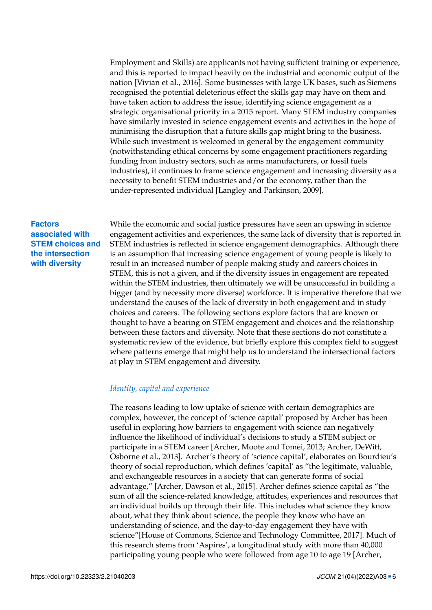Employment and Skills) are applicants not having sufficient training or experience, and this is reported to impact heavily on the industrial and economic output of the nation [Vivian et al., [2016\]](#page-24-1). Some businesses with large UK bases, such as Siemens recognised the potential deleterious effect the skills gap may have on them and have taken action to address the issue, identifying science engagement as a strategic organisational priority in a 2015 report. Many STEM industry companies have similarly invested in science engagement events and activities in the hope of minimising the disruption that a future skills gap might bring to the business. While such investment is welcomed in general by the engagement community (notwithstanding ethical concerns by some engagement practitioners regarding funding from industry sectors, such as arms manufacturers, or fossil fuels industries), it continues to frame science engagement and increasing diversity as a necessity to benefit STEM industries and/or the economy, rather than the under-represented individual [Langley and Parkinson, [2009\]](#page-22-4).

# **Factors associated with STEM choices and the intersection with diversity**

While the economic and social justice pressures have seen an upswing in science engagement activities and experiences, the same lack of diversity that is reported in STEM industries is reflected in science engagement demographics. Although there is an assumption that increasing science engagement of young people is likely to result in an increased number of people making study and careers choices in STEM, this is not a given, and if the diversity issues in engagement are repeated within the STEM industries, then ultimately we will be unsuccessful in building a bigger (and by necessity more diverse) workforce. It is imperative therefore that we understand the causes of the lack of diversity in both engagement and in study choices and careers. The following sections explore factors that are known or thought to have a bearing on STEM engagement and choices and the relationship between these factors and diversity. Note that these sections do not constitute a systematic review of the evidence, but briefly explore this complex field to suggest where patterns emerge that might help us to understand the intersectional factors at play in STEM engagement and diversity.

## *Identity, capital and experience*

The reasons leading to low uptake of science with certain demographics are complex, however, the concept of 'science capital' proposed by Archer has been useful in exploring how barriers to engagement with science can negatively influence the likelihood of individual's decisions to study a STEM subject or participate in a STEM career [Archer, Moote and Tomei, [2013;](#page-18-0) Archer, DeWitt, Osborne et al., [2013\]](#page-18-1). Archer's theory of 'science capital', elaborates on Bourdieu's theory of social reproduction, which defines 'capital' as "the legitimate, valuable, and exchangeable resources in a society that can generate forms of social advantage," [Archer, Dawson et al., [2015\]](#page-18-2). Archer defines science capital as "the sum of all the science-related knowledge, attitudes, experiences and resources that an individual builds up through their life. This includes what science they know about, what they think about science, the people they know who have an understanding of science, and the day-to-day engagement they have with science"[House of Commons, Science and Technology Committee, [2017\]](#page-21-4). Much of this research stems from 'Aspires', a longitudinal study with more than 40,000 participating young people who were followed from age 10 to age 19 [Archer,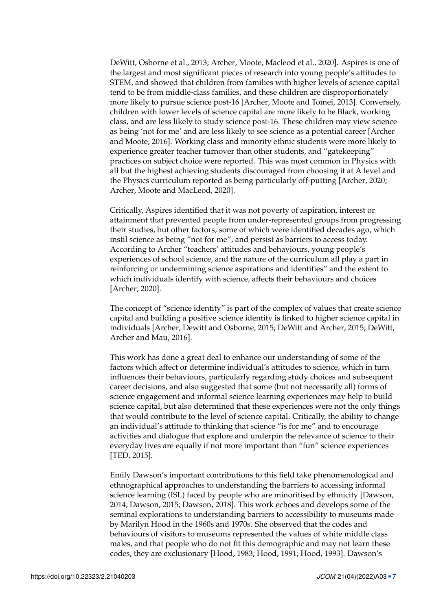DeWitt, Osborne et al., [2013;](#page-18-1) Archer, Moote, Macleod et al., [2020\]](#page-18-3). Aspires is one of the largest and most significant pieces of research into young people's attitudes to STEM, and showed that children from families with higher levels of science capital tend to be from middle-class families, and these children are disproportionately more likely to pursue science post-16 [Archer, Moote and Tomei, [2013\]](#page-18-0). Conversely, children with lower levels of science capital are more likely to be Black, working class, and are less likely to study science post-16. These children may view science as being 'not for me' and are less likely to see science as a potential career [Archer and Moote, [2016\]](#page-18-4). Working class and minority ethnic students were more likely to experience greater teacher turnover than other students, and "gatekeeping" practices on subject choice were reported. This was most common in Physics with all but the highest achieving students discouraged from choosing it at A level and the Physics curriculum reported as being particularly off-putting [Archer, [2020;](#page-18-5) Archer, Moote and MacLeod, [2020\]](#page-18-6).

Critically, Aspires identified that it was not poverty of aspiration, interest or attainment that prevented people from under-represented groups from progressing their studies, but other factors, some of which were identified decades ago, which instil science as being "not for me", and persist as barriers to access today. According to Archer "teachers' attitudes and behaviours, young people's experiences of school science, and the nature of the curriculum all play a part in reinforcing or undermining science aspirations and identities" and the extent to which individuals identify with science, affects their behaviours and choices [Archer, [2020\]](#page-18-5).

The concept of "science identity" is part of the complex of values that create science capital and building a positive science identity is linked to higher science capital in individuals [Archer, Dewitt and Osborne, [2015;](#page-18-7) DeWitt and Archer, [2015;](#page-19-5) DeWitt, Archer and Mau, [2016\]](#page-20-4).

This work has done a great deal to enhance our understanding of some of the factors which affect or determine individual's attitudes to science, which in turn influences their behaviours, particularly regarding study choices and subsequent career decisions, and also suggested that some (but not necessarily all) forms of science engagement and informal science learning experiences may help to build science capital, but also determined that these experiences were not the only things that would contribute to the level of science capital. Critically, the ability to change an individual's attitude to thinking that science "is for me" and to encourage activities and dialogue that explore and underpin the relevance of science to their everyday lives are equally if not more important than "fun" science experiences [TED, [2015\]](#page-23-5).

Emily Dawson's important contributions to this field take phenomenological and ethnographical approaches to understanding the barriers to accessing informal science learning (ISL) faced by people who are minoritised by ethnicity [Dawson, [2014;](#page-19-6) Dawson, [2015;](#page-19-7) Dawson, [2018\]](#page-19-8). This work echoes and develops some of the seminal explorations to understanding barriers to accessibility to museums made by Marilyn Hood in the 1960s and 1970s. She observed that the codes and behaviours of visitors to museums represented the values of white middle class males, and that people who do not fit this demographic and may not learn these codes, they are exclusionary [Hood, [1983;](#page-20-5) Hood, [1991;](#page-20-6) Hood, [1993\]](#page-21-5). Dawson's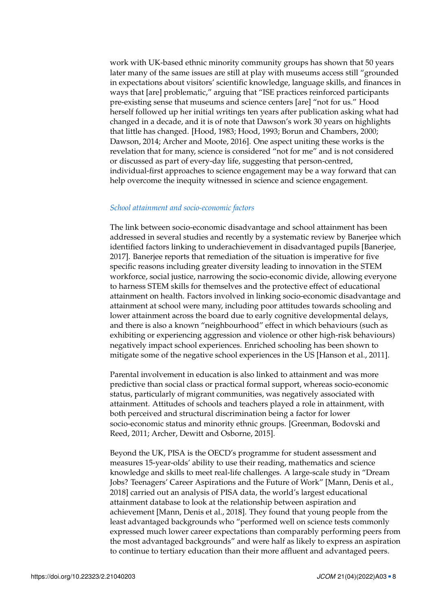work with UK-based ethnic minority community groups has shown that 50 years later many of the same issues are still at play with museums access still "grounded in expectations about visitors' scientific knowledge, language skills, and finances in ways that [are] problematic," arguing that "ISE practices reinforced participants pre-existing sense that museums and science centers [are] "not for us." Hood herself followed up her initial writings ten years after publication asking what had changed in a decade, and it is of note that Dawson's work 30 years on highlights that little has changed. [Hood, [1983;](#page-20-5) Hood, [1993;](#page-21-5) Borun and Chambers, [2000;](#page-19-9) Dawson, [2014;](#page-19-6) Archer and Moote, [2016\]](#page-18-4). One aspect uniting these works is the revelation that for many, science is considered "not for me" and is not considered or discussed as part of every-day life, suggesting that person-centred, individual-first approaches to science engagement may be a way forward that can help overcome the inequity witnessed in science and science engagement.

#### *School attainment and socio-economic factors*

The link between socio-economic disadvantage and school attainment has been addressed in several studies and recently by a systematic review by Banerjee which identified factors linking to underachievement in disadvantaged pupils [Banerjee, [2017\]](#page-18-8). Banerjee reports that remediation of the situation is imperative for five specific reasons including greater diversity leading to innovation in the STEM workforce, social justice, narrowing the socio-economic divide, allowing everyone to harness STEM skills for themselves and the protective effect of educational attainment on health. Factors involved in linking socio-economic disadvantage and attainment at school were many, including poor attitudes towards schooling and lower attainment across the board due to early cognitive developmental delays, and there is also a known "neighbourhood" effect in which behaviours (such as exhibiting or experiencing aggression and violence or other high-risk behaviours) negatively impact school experiences. Enriched schooling has been shown to mitigate some of the negative school experiences in the US [Hanson et al., [2011\]](#page-20-7).

Parental involvement in education is also linked to attainment and was more predictive than social class or practical formal support, whereas socio-economic status, particularly of migrant communities, was negatively associated with attainment. Attitudes of schools and teachers played a role in attainment, with both perceived and structural discrimination being a factor for lower socio-economic status and minority ethnic groups. [Greenman, Bodovski and Reed, [2011;](#page-20-8) Archer, Dewitt and Osborne, [2015\]](#page-18-7).

Beyond the UK, PISA is the OECD's programme for student assessment and measures 15-year-olds' ability to use their reading, mathematics and science knowledge and skills to meet real-life challenges. A large-scale study in "Dream Jobs? Teenagers' Career Aspirations and the Future of Work" [Mann, Denis et al., [2018\]](#page-22-5) carried out an analysis of PISA data, the world's largest educational attainment database to look at the relationship between aspiration and achievement [Mann, Denis et al., [2018\]](#page-22-5). They found that young people from the least advantaged backgrounds who "performed well on science tests commonly expressed much lower career expectations than comparably performing peers from the most advantaged backgrounds" and were half as likely to express an aspiration to continue to tertiary education than their more affluent and advantaged peers.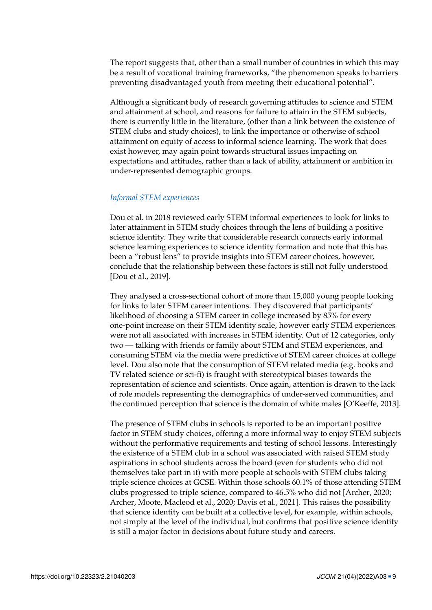The report suggests that, other than a small number of countries in which this may be a result of vocational training frameworks, "the phenomenon speaks to barriers preventing disadvantaged youth from meeting their educational potential".

Although a significant body of research governing attitudes to science and STEM and attainment at school, and reasons for failure to attain in the STEM subjects, there is currently little in the literature, (other than a link between the existence of STEM clubs and study choices), to link the importance or otherwise of school attainment on equity of access to informal science learning. The work that does exist however, may again point towards structural issues impacting on expectations and attitudes, rather than a lack of ability, attainment or ambition in under-represented demographic groups.

## *Informal STEM experiences*

Dou et al. in 2018 reviewed early STEM informal experiences to look for links to later attainment in STEM study choices through the lens of building a positive science identity. They write that considerable research connects early informal science learning experiences to science identity formation and note that this has been a "robust lens" to provide insights into STEM career choices, however, conclude that the relationship between these factors is still not fully understood [Dou et al., [2019\]](#page-20-9).

They analysed a cross-sectional cohort of more than 15,000 young people looking for links to later STEM career intentions. They discovered that participants' likelihood of choosing a STEM career in college increased by 85% for every one-point increase on their STEM identity scale, however early STEM experiences were not all associated with increases in STEM identity. Out of 12 categories, only two — talking with friends or family about STEM and STEM experiences, and consuming STEM via the media were predictive of STEM career choices at college level. Dou also note that the consumption of STEM related media (e.g. books and TV related science or sci-fi) is fraught with stereotypical biases towards the representation of science and scientists. Once again, attention is drawn to the lack of role models representing the demographics of under-served communities, and the continued perception that science is the domain of white males [O'Keeffe, [2013\]](#page-23-6).

The presence of STEM clubs in schools is reported to be an important positive factor in STEM study choices, offering a more informal way to enjoy STEM subjects without the performative requirements and testing of school lessons. Interestingly the existence of a STEM club in a school was associated with raised STEM study aspirations in school students across the board (even for students who did not themselves take part in it) with more people at schools with STEM clubs taking triple science choices at GCSE. Within those schools 60.1% of those attending STEM clubs progressed to triple science, compared to 46.5% who did not [Archer, [2020;](#page-18-5) Archer, Moote, Macleod et al., [2020;](#page-18-3) Davis et al., [2021\]](#page-19-10). This raises the possibility that science identity can be built at a collective level, for example, within schools, not simply at the level of the individual, but confirms that positive science identity is still a major factor in decisions about future study and careers.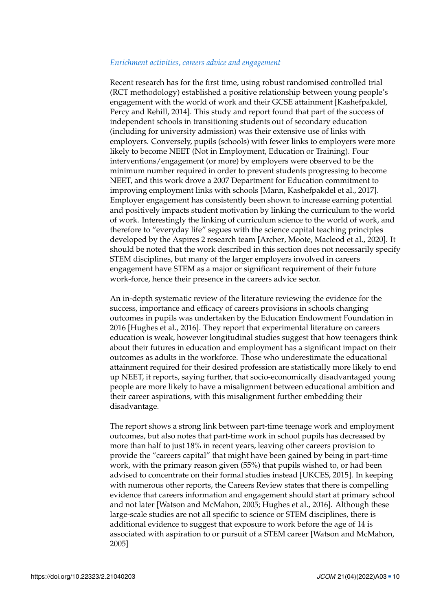#### *Enrichment activities, careers advice and engagement*

Recent research has for the first time, using robust randomised controlled trial (RCT methodology) established a positive relationship between young people's engagement with the world of work and their GCSE attainment [Kashefpakdel, Percy and Rehill, [2014\]](#page-21-6). This study and report found that part of the success of independent schools in transitioning students out of secondary education (including for university admission) was their extensive use of links with employers. Conversely, pupils (schools) with fewer links to employers were more likely to become NEET (Not in Employment, Education or Training). Four interventions/engagement (or more) by employers were observed to be the minimum number required in order to prevent students progressing to become NEET, and this work drove a 2007 Department for Education commitment to improving employment links with schools [Mann, Kashefpakdel et al., [2017\]](#page-22-6). Employer engagement has consistently been shown to increase earning potential and positively impacts student motivation by linking the curriculum to the world of work. Interestingly the linking of curriculum science to the world of work, and therefore to "everyday life" segues with the science capital teaching principles developed by the Aspires 2 research team [Archer, Moote, Macleod et al., [2020\]](#page-18-3). It should be noted that the work described in this section does not necessarily specify STEM disciplines, but many of the larger employers involved in careers engagement have STEM as a major or significant requirement of their future work-force, hence their presence in the careers advice sector.

An in-depth systematic review of the literature reviewing the evidence for the success, importance and efficacy of careers provisions in schools changing outcomes in pupils was undertaken by the Education Endowment Foundation in 2016 [Hughes et al., [2016\]](#page-21-7). They report that experimental literature on careers education is weak, however longitudinal studies suggest that how teenagers think about their futures in education and employment has a significant impact on their outcomes as adults in the workforce. Those who underestimate the educational attainment required for their desired profession are statistically more likely to end up NEET, it reports, saying further, that socio-economically disadvantaged young people are more likely to have a misalignment between educational ambition and their career aspirations, with this misalignment further embedding their disadvantage.

The report shows a strong link between part-time teenage work and employment outcomes, but also notes that part-time work in school pupils has decreased by more than half to just 18% in recent years, leaving other careers provision to provide the "careers capital" that might have been gained by being in part-time work, with the primary reason given (55%) that pupils wished to, or had been advised to concentrate on their formal studies instead [UKCES, [2015\]](#page-23-7). In keeping with numerous other reports, the Careers Review states that there is compelling evidence that careers information and engagement should start at primary school and not later [Watson and McMahon, [2005;](#page-24-2) Hughes et al., [2016\]](#page-21-7). Although these large-scale studies are not all specific to science or STEM disciplines, there is additional evidence to suggest that exposure to work before the age of 14 is associated with aspiration to or pursuit of a STEM career [Watson and McMahon, [2005\]](#page-24-2)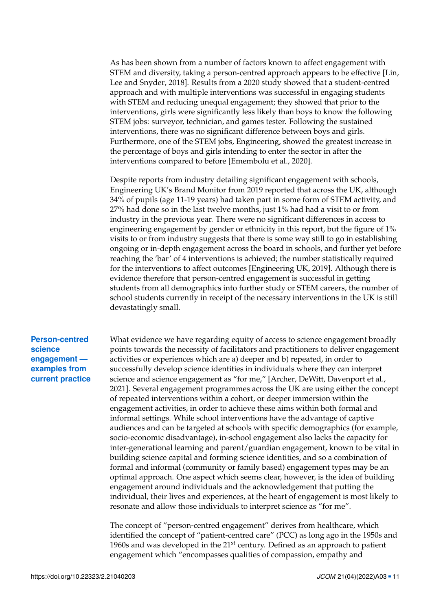As has been shown from a number of factors known to affect engagement with STEM and diversity, taking a person-centred approach appears to be effective [Lin, Lee and Snyder, [2018\]](#page-22-7). Results from a 2020 study showed that a student-centred approach and with multiple interventions was successful in engaging students with STEM and reducing unequal engagement; they showed that prior to the interventions, girls were significantly less likely than boys to know the following STEM jobs: surveyor, technician, and games tester. Following the sustained interventions, there was no significant difference between boys and girls. Furthermore, one of the STEM jobs, Engineering, showed the greatest increase in the percentage of boys and girls intending to enter the sector in after the interventions compared to before [Emembolu et al., [2020\]](#page-20-10).

Despite reports from industry detailing significant engagement with schools, Engineering UK's Brand Monitor from 2019 reported that across the UK, although 34% of pupils (age 11-19 years) had taken part in some form of STEM activity, and 27% had done so in the last twelve months, just 1% had had a visit to or from industry in the previous year. There were no significant differences in access to engineering engagement by gender or ethnicity in this report, but the figure of 1% visits to or from industry suggests that there is some way still to go in establishing ongoing or in-depth engagement across the board in schools, and further yet before reaching the 'bar' of 4 interventions is achieved; the number statistically required for the interventions to affect outcomes [Engineering UK, [2019\]](#page-20-11). Although there is evidence therefore that person-centred engagement is successful in getting students from all demographics into further study or STEM careers, the number of school students currently in receipt of the necessary interventions in the UK is still devastatingly small.

# **Person-centred science engagement examples from current practice**

What evidence we have regarding equity of access to science engagement broadly points towards the necessity of facilitators and practitioners to deliver engagement activities or experiences which are a) deeper and b) repeated, in order to successfully develop science identities in individuals where they can interpret science and science engagement as "for me," [Archer, DeWitt, Davenport et al., [2021\]](#page-18-9). Several engagement programmes across the UK are using either the concept of repeated interventions within a cohort, or deeper immersion within the engagement activities, in order to achieve these aims within both formal and informal settings. While school interventions have the advantage of captive audiences and can be targeted at schools with specific demographics (for example, socio-economic disadvantage), in-school engagement also lacks the capacity for inter-generational learning and parent/guardian engagement, known to be vital in building science capital and forming science identities, and so a combination of formal and informal (community or family based) engagement types may be an optimal approach. One aspect which seems clear, however, is the idea of building engagement around individuals and the acknowledgement that putting the individual, their lives and experiences, at the heart of engagement is most likely to resonate and allow those individuals to interpret science as "for me".

The concept of "person-centred engagement" derives from healthcare, which identified the concept of "patient-centred care" (PCC) as long ago in the 1950s and 1960s and was developed in the  $21<sup>st</sup>$  century. Defined as an approach to patient engagement which "encompasses qualities of compassion, empathy and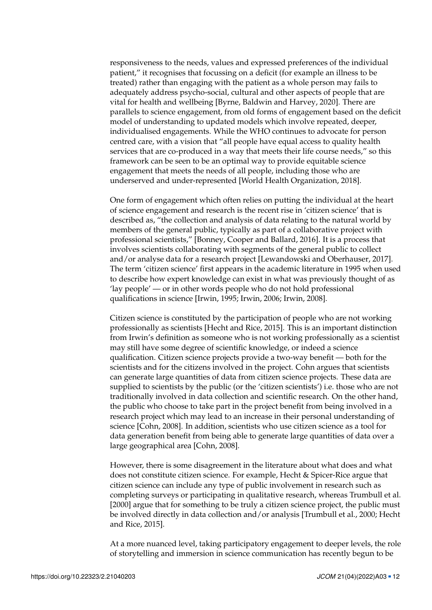responsiveness to the needs, values and expressed preferences of the individual patient," it recognises that focussing on a deficit (for example an illness to be treated) rather than engaging with the patient as a whole person may fails to adequately address psycho-social, cultural and other aspects of people that are vital for health and wellbeing [Byrne, Baldwin and Harvey, [2020\]](#page-19-11). There are parallels to science engagement, from old forms of engagement based on the deficit model of understanding to updated models which involve repeated, deeper, individualised engagements. While the WHO continues to advocate for person centred care, with a vision that "all people have equal access to quality health services that are co-produced in a way that meets their life course needs," so this framework can be seen to be an optimal way to provide equitable science engagement that meets the needs of all people, including those who are underserved and under-represented [World Health Organization, [2018\]](#page-24-3).

One form of engagement which often relies on putting the individual at the heart of science engagement and research is the recent rise in 'citizen science' that is described as, "the collection and analysis of data relating to the natural world by members of the general public, typically as part of a collaborative project with professional scientists," [Bonney, Cooper and Ballard, [2016\]](#page-19-12). It is a process that involves scientists collaborating with segments of the general public to collect and/or analyse data for a research project [Lewandowski and Oberhauser, [2017\]](#page-22-8). The term 'citizen science' first appears in the academic literature in 1995 when used to describe how expert knowledge can exist in what was previously thought of as 'lay people' — or in other words people who do not hold professional qualifications in science [Irwin, [1995;](#page-21-8) Irwin, [2006;](#page-21-9) Irwin, [2008\]](#page-21-10).

Citizen science is constituted by the participation of people who are not working professionally as scientists [Hecht and Rice, [2015\]](#page-20-12). This is an important distinction from Irwin's definition as someone who is not working professionally as a scientist may still have some degree of scientific knowledge, or indeed a science qualification. Citizen science projects provide a two-way benefit — both for the scientists and for the citizens involved in the project. Cohn argues that scientists can generate large quantities of data from citizen science projects. These data are supplied to scientists by the public (or the 'citizen scientists') i.e. those who are not traditionally involved in data collection and scientific research. On the other hand, the public who choose to take part in the project benefit from being involved in a research project which may lead to an increase in their personal understanding of science [Cohn, [2008\]](#page-19-13). In addition, scientists who use citizen science as a tool for data generation benefit from being able to generate large quantities of data over a large geographical area [Cohn, [2008\]](#page-19-13).

However, there is some disagreement in the literature about what does and what does not constitute citizen science. For example, Hecht & Spicer-Rice argue that citizen science can include any type of public involvement in research such as completing surveys or participating in qualitative research, whereas Trumbull et al. [\[2000\]](#page-23-8) argue that for something to be truly a citizen science project, the public must be involved directly in data collection and/or analysis [Trumbull et al., [2000;](#page-23-8) Hecht and Rice, [2015\]](#page-20-12).

At a more nuanced level, taking participatory engagement to deeper levels, the role of storytelling and immersion in science communication has recently begun to be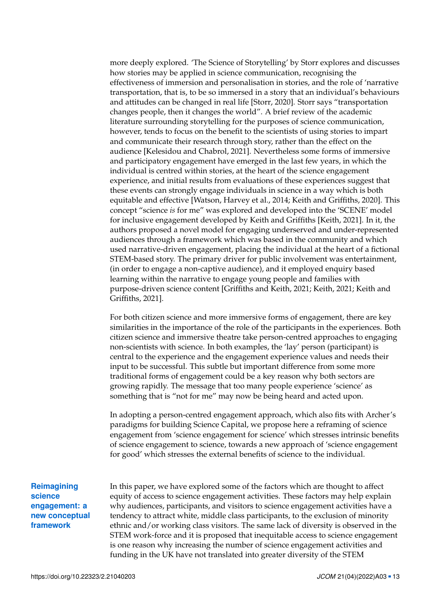more deeply explored. 'The Science of Storytelling' by Storr explores and discusses how stories may be applied in science communication, recognising the effectiveness of immersion and personalisation in stories, and the role of 'narrative transportation, that is, to be so immersed in a story that an individual's behaviours and attitudes can be changed in real life [Storr, [2020\]](#page-23-9). Storr says "transportation changes people, then it changes the world". A brief review of the academic literature surrounding storytelling for the purposes of science communication, however, tends to focus on the benefit to the scientists of using stories to impart and communicate their research through story, rather than the effect on the audience [Kelesidou and Chabrol, [2021\]](#page-22-9). Nevertheless some forms of immersive and participatory engagement have emerged in the last few years, in which the individual is centred within stories, at the heart of the science engagement experience, and initial results from evaluations of these experiences suggest that these events can strongly engage individuals in science in a way which is both equitable and effective [Watson, Harvey et al., [2014;](#page-24-4) Keith and Griffiths, [2020\]](#page-22-10). This concept "science *is* for me" was explored and developed into the 'SCENE' model for inclusive engagement developed by Keith and Griffiths [Keith, [2021\]](#page-21-11). In it, the authors proposed a novel model for engaging underserved and under-represented audiences through a framework which was based in the community and which used narrative-driven engagement, placing the individual at the heart of a fictional STEM-based story. The primary driver for public involvement was entertainment, (in order to engage a non-captive audience), and it employed enquiry based learning within the narrative to engage young people and families with purpose-driven science content [Griffiths and Keith, [2021;](#page-20-13) Keith, [2021;](#page-21-11) Keith and Griffiths, [2021\]](#page-22-11).

For both citizen science and more immersive forms of engagement, there are key similarities in the importance of the role of the participants in the experiences. Both citizen science and immersive theatre take person-centred approaches to engaging non-scientists with science. In both examples, the 'lay' person (participant) is central to the experience and the engagement experience values and needs their input to be successful. This subtle but important difference from some more traditional forms of engagement could be a key reason why both sectors are growing rapidly. The message that too many people experience 'science' as something that is "not for me" may now be being heard and acted upon.

In adopting a person-centred engagement approach, which also fits with Archer's paradigms for building Science Capital, we propose here a reframing of science engagement from 'science engagement for science' which stresses intrinsic benefits of science engagement to science, towards a new approach of 'science engagement for good' which stresses the external benefits of science to the individual.

**Reimagining science engagement: a new conceptual framework**

In this paper, we have explored some of the factors which are thought to affect equity of access to science engagement activities. These factors may help explain why audiences, participants, and visitors to science engagement activities have a tendency to attract white, middle class participants, to the exclusion of minority ethnic and/or working class visitors. The same lack of diversity is observed in the STEM work-force and it is proposed that inequitable access to science engagement is one reason why increasing the number of science engagement activities and funding in the UK have not translated into greater diversity of the STEM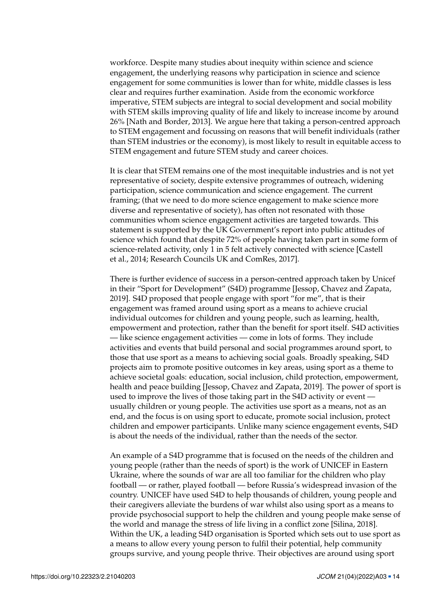workforce. Despite many studies about inequity within science and science engagement, the underlying reasons why participation in science and science engagement for some communities is lower than for white, middle classes is less clear and requires further examination. Aside from the economic workforce imperative, STEM subjects are integral to social development and social mobility with STEM skills improving quality of life and likely to increase income by around 26% [Nath and Border, [2013\]](#page-22-12). We argue here that taking a person-centred approach to STEM engagement and focussing on reasons that will benefit individuals (rather than STEM industries or the economy), is most likely to result in equitable access to STEM engagement and future STEM study and career choices.

It is clear that STEM remains one of the most inequitable industries and is not yet representative of society, despite extensive programmes of outreach, widening participation, science communication and science engagement. The current framing; (that we need to do more science engagement to make science more diverse and representative of society), has often not resonated with those communities whom science engagement activities are targeted towards. This statement is supported by the UK Government's report into public attitudes of science which found that despite 72% of people having taken part in some form of science-related activity, only 1 in 5 felt actively connected with science [Castell et al., [2014;](#page-19-14) Research Councils UK and ComRes, [2017\]](#page-23-10).

There is further evidence of success in a person-centred approach taken by Unicef in their "Sport for Development" (S4D) programme [Jessop, Chavez and Zapata, [2019\]](#page-21-12). S4D proposed that people engage with sport "for me", that is their engagement was framed around using sport as a means to achieve crucial individual outcomes for children and young people, such as learning, health, empowerment and protection, rather than the benefit for sport itself. S4D activities — like science engagement activities — come in lots of forms. They include activities and events that build personal and social programmes around sport, to those that use sport as a means to achieving social goals. Broadly speaking, S4D projects aim to promote positive outcomes in key areas, using sport as a theme to achieve societal goals: education, social inclusion, child protection, empowerment, health and peace building [Jessop, Chavez and Zapata, [2019\]](#page-21-12). The power of sport is used to improve the lives of those taking part in the S4D activity or event usually children or young people. The activities use sport as a means, not as an end, and the focus is on using sport to educate, promote social inclusion, protect children and empower participants. Unlike many science engagement events, S4D is about the needs of the individual, rather than the needs of the sector.

An example of a S4D programme that is focused on the needs of the children and young people (rather than the needs of sport) is the work of UNICEF in Eastern Ukraine, where the sounds of war are all too familiar for the children who play football — or rather, played football — before Russia's widespread invasion of the country. UNICEF have used S4D to help thousands of children, young people and their caregivers alleviate the burdens of war whilst also using sport as a means to provide psychosocial support to help the children and young people make sense of the world and manage the stress of life living in a conflict zone [Silina, [2018\]](#page-23-11). Within the UK, a leading S4D organisation is Sported which sets out to use sport as a means to allow every young person to fulfil their potential, help community groups survive, and young people thrive. Their objectives are around using sport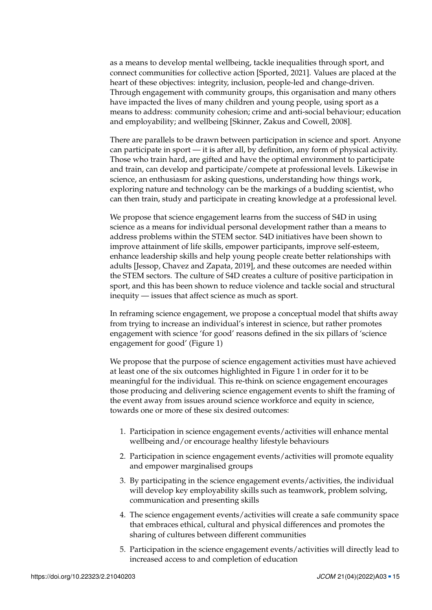as a means to develop mental wellbeing, tackle inequalities through sport, and connect communities for collective action [Sported, [2021\]](#page-23-12). Values are placed at the heart of these objectives: integrity, inclusion, people-led and change-driven. Through engagement with community groups, this organisation and many others have impacted the lives of many children and young people, using sport as a means to address: community cohesion; crime and anti-social behaviour; education and employability; and wellbeing [Skinner, Zakus and Cowell, [2008\]](#page-23-13).

There are parallels to be drawn between participation in science and sport. Anyone can participate in sport — it is after all, by definition, any form of physical activity. Those who train hard, are gifted and have the optimal environment to participate and train, can develop and participate/compete at professional levels. Likewise in science, an enthusiasm for asking questions, understanding how things work, exploring nature and technology can be the markings of a budding scientist, who can then train, study and participate in creating knowledge at a professional level.

We propose that science engagement learns from the success of S4D in using science as a means for individual personal development rather than a means to address problems within the STEM sector. S4D initiatives have been shown to improve attainment of life skills, empower participants, improve self-esteem, enhance leadership skills and help young people create better relationships with adults [Jessop, Chavez and Zapata, [2019\]](#page-21-12), and these outcomes are needed within the STEM sectors. The culture of S4D creates a culture of positive participation in sport, and this has been shown to reduce violence and tackle social and structural inequity — issues that affect science as much as sport.

In reframing science engagement, we propose a conceptual model that shifts away from trying to increase an individual's interest in science, but rather promotes engagement with science 'for good' reasons defined in the six pillars of 'science engagement for good' (Figure [1\)](#page-15-0)

We propose that the purpose of science engagement activities must have achieved at least one of the six outcomes highlighted in Figure 1 in order for it to be meaningful for the individual. This re-think on science engagement encourages those producing and delivering science engagement events to shift the framing of the event away from issues around science workforce and equity in science, towards one or more of these six desired outcomes:

- 1. Participation in science engagement events/activities will enhance mental wellbeing and/or encourage healthy lifestyle behaviours
- 2. Participation in science engagement events/activities will promote equality and empower marginalised groups
- 3. By participating in the science engagement events/activities, the individual will develop key employability skills such as teamwork, problem solving, communication and presenting skills
- 4. The science engagement events/activities will create a safe community space that embraces ethical, cultural and physical differences and promotes the sharing of cultures between different communities
- 5. Participation in the science engagement events/activities will directly lead to increased access to and completion of education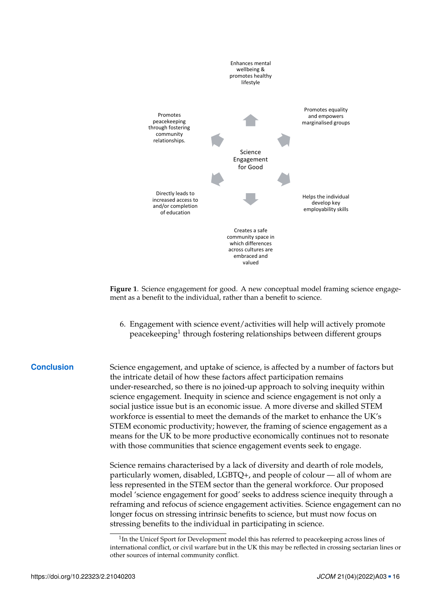

<span id="page-15-0"></span>ment as a benefit to the individual, rather than a benefit to science. **Figure 1**. Science engagement for good. A new conceptual model framing science engage-

**benefit to the individual, rather than a benefit to science.**   $\mathbb{R}^n$  becomes the purpose of science engagement activities must have activities must have a set of the of the of the  $\mathbb{R}^n$ 6. Engagement with science event/activities will help will actively promote peacekeeping<sup>[1](#page-0-0)</sup> through fostering relationships between different groups

**Conclusion** Science engagement, and uptake of science, is affected by a number of factors but the intricate detail of how these factors affect participation remains<br>under-researched, so there is no joined-up approach to solving inequity within science engagement. Inequity in science and science engagement is not only a workforce is essential to meet the demands of the market to enhance the UK s<br>STEM economic productivity; however, the framing of science engagement as a means for the UK to be more productive economically continues not to resonate with those communities that science engagement events seek to engage. the intricate detail of how these factors affect participation remains social justice issue but is an economic issue. A more diverse and skilled STEM workforce is essential to meet the demands of the market to enhance the UK's

Science remains characterised by a lack of diversity and dearth of role models,  $\frac{3}{2}$  become contains entireled below by a faction entirely that we have from models, the individual will develop the individual particularly women, disabled, LGBTQ+, and people of colour — all of whom are less represented in the STEM sector than the general workforce. Our proposed model 'science engagement for good' seeks to address science inequity through a<br>moterning and referee of science engagement estivities. Science engagement ser no longer focus on stressing intrinsic benefits to science, but must now focus on stressing benefits to the individual in participating in science. reframing and refocus of science engagement activities. Science engagement can no

<sup>&</sup>lt;sup>1</sup>In the Unicef Sport for Development model this has referred to peacekeeping across lines of international conflict, or civil warfare but in t<br>other sources of internal community conflict. 6. Engagement with science event/activities will help will actively promote peacekeeping\* international conflict, or civil warfare but in the UK this may be reflected in crossing sectarian lines or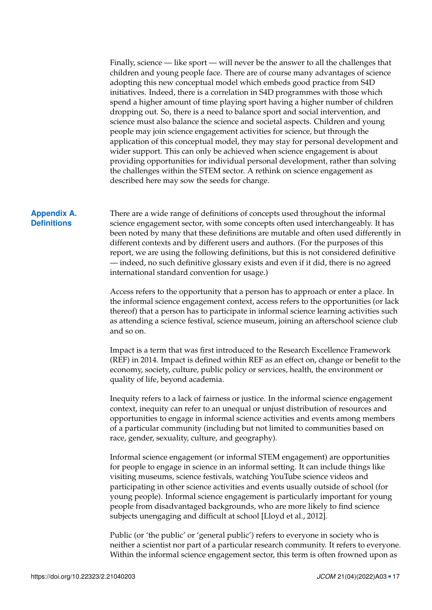Finally, science — like sport — will never be the answer to all the challenges that children and young people face. There are of course many advantages of science adopting this new conceptual model which embeds good practice from S4D initiatives. Indeed, there is a correlation in S4D programmes with those which spend a higher amount of time playing sport having a higher number of children dropping out. So, there is a need to balance sport and social intervention, and science must also balance the science and societal aspects. Children and young people may join science engagement activities for science, but through the application of this conceptual model, they may stay for personal development and wider support. This can only be achieved when science engagement is about providing opportunities for individual personal development, rather than solving the challenges within the STEM sector. A rethink on science engagement as described here may sow the seeds for change.

### **Appendix A. Definitions**

<span id="page-16-0"></span>There are a wide range of definitions of concepts used throughout the informal science engagement sector, with some concepts often used interchangeably. It has been noted by many that these definitions are mutable and often used differently in different contexts and by different users and authors. (For the purposes of this report, we are using the following definitions, but this is not considered definitive — indeed, no such definitive glossary exists and even if it did, there is no agreed international standard convention for usage.)

Access refers to the opportunity that a person has to approach or enter a place. In the informal science engagement context, access refers to the opportunities (or lack thereof) that a person has to participate in informal science learning activities such as attending a science festival, science museum, joining an afterschool science club and so on.

Impact is a term that was first introduced to the Research Excellence Framework (REF) in 2014. Impact is defined within REF as an effect on, change or benefit to the economy, society, culture, public policy or services, health, the environment or quality of life, beyond academia.

Inequity refers to a lack of fairness or justice. In the informal science engagement context, inequity can refer to an unequal or unjust distribution of resources and opportunities to engage in informal science activities and events among members of a particular community (including but not limited to communities based on race, gender, sexuality, culture, and geography).

Informal science engagement (or informal STEM engagement) are opportunities for people to engage in science in an informal setting. It can include things like visiting museums, science festivals, watching YouTube science videos and participating in other science activities and events usually outside of school (for young people). Informal science engagement is particularly important for young people from disadvantaged backgrounds, who are more likely to find science subjects unengaging and difficult at school [Lloyd et al., [2012\]](#page-22-13).

Public (or 'the public' or 'general public') refers to everyone in society who is neither a scientist nor part of a particular research community. It refers to everyone. Within the informal science engagement sector, this term is often frowned upon as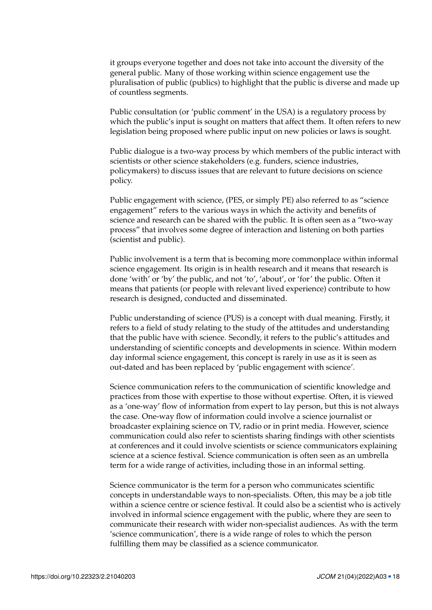it groups everyone together and does not take into account the diversity of the general public. Many of those working within science engagement use the pluralisation of public (publics) to highlight that the public is diverse and made up of countless segments.

Public consultation (or 'public comment' in the USA) is a regulatory process by which the public's input is sought on matters that affect them. It often refers to new legislation being proposed where public input on new policies or laws is sought.

Public dialogue is a two-way process by which members of the public interact with scientists or other science stakeholders (e.g. funders, science industries, policymakers) to discuss issues that are relevant to future decisions on science policy.

Public engagement with science, (PES, or simply PE) also referred to as "science engagement" refers to the various ways in which the activity and benefits of science and research can be shared with the public. It is often seen as a "two-way process" that involves some degree of interaction and listening on both parties (scientist and public).

Public involvement is a term that is becoming more commonplace within informal science engagement. Its origin is in health research and it means that research is done 'with' or 'by' the public, and not 'to', 'about', or 'for' the public. Often it means that patients (or people with relevant lived experience) contribute to how research is designed, conducted and disseminated.

Public understanding of science (PUS) is a concept with dual meaning. Firstly, it refers to a field of study relating to the study of the attitudes and understanding that the public have with science. Secondly, it refers to the public's attitudes and understanding of scientific concepts and developments in science. Within modern day informal science engagement, this concept is rarely in use as it is seen as out-dated and has been replaced by 'public engagement with science'.

Science communication refers to the communication of scientific knowledge and practices from those with expertise to those without expertise. Often, it is viewed as a 'one-way' flow of information from expert to lay person, but this is not always the case. One-way flow of information could involve a science journalist or broadcaster explaining science on TV, radio or in print media. However, science communication could also refer to scientists sharing findings with other scientists at conferences and it could involve scientists or science communicators explaining science at a science festival. Science communication is often seen as an umbrella term for a wide range of activities, including those in an informal setting.

Science communicator is the term for a person who communicates scientific concepts in understandable ways to non-specialists. Often, this may be a job title within a science centre or science festival. It could also be a scientist who is actively involved in informal science engagement with the public, where they are seen to communicate their research with wider non-specialist audiences. As with the term 'science communication', there is a wide range of roles to which the person fulfilling them may be classified as a science communicator.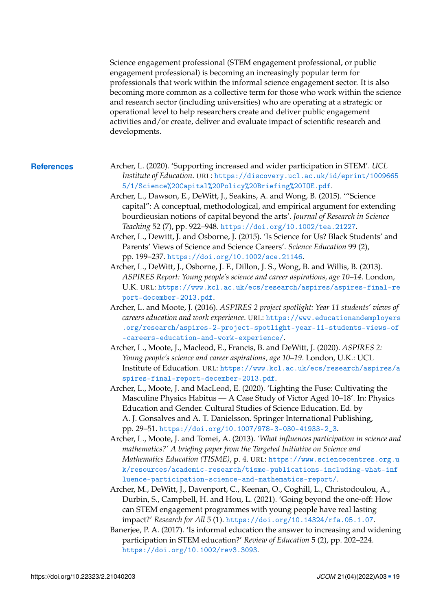Science engagement professional (STEM engagement professional, or public engagement professional) is becoming an increasingly popular term for professionals that work within the informal science engagement sector. It is also becoming more common as a collective term for those who work within the science and research sector (including universities) who are operating at a strategic or operational level to help researchers create and deliver public engagement activities and/or create, deliver and evaluate impact of scientific research and developments.

- <span id="page-18-9"></span><span id="page-18-8"></span><span id="page-18-7"></span><span id="page-18-6"></span><span id="page-18-5"></span><span id="page-18-4"></span><span id="page-18-3"></span><span id="page-18-2"></span><span id="page-18-1"></span><span id="page-18-0"></span>**References** Archer, L. (2020). 'Supporting increased and wider participation in STEM'. *UCL Institute of Education*. URL: [https://discovery.ucl.ac.uk/id/eprint/1009665](https://discovery.ucl.ac.uk/id/eprint/10096655/1/Science%20Capital%20Policy%20Briefing%20IOE.pdf) [5/1/Science%20Capital%20Policy%20Briefing%20IOE.pdf](https://discovery.ucl.ac.uk/id/eprint/10096655/1/Science%20Capital%20Policy%20Briefing%20IOE.pdf).
	- Archer, L., Dawson, E., DeWitt, J., Seakins, A. and Wong, B. (2015). '"Science capital": A conceptual, methodological, and empirical argument for extending bourdieusian notions of capital beyond the arts'. *Journal of Research in Science Teaching* 52 (7), pp. 922–948. <https://doi.org/10.1002/tea.21227>.
	- Archer, L., Dewitt, J. and Osborne, J. (2015). 'Is Science for Us? Black Students' and Parents' Views of Science and Science Careers'. *Science Education* 99 (2), pp. 199–237. <https://doi.org/10.1002/sce.21146>.
	- Archer, L., DeWitt, J., Osborne, J. F., Dillon, J. S., Wong, B. and Willis, B. (2013). *ASPIRES Report: Young people's science and career aspirations, age 10–14*. London, U.K. URL: [https://www.kcl.ac.uk/ecs/research/aspires/aspires-final-re](https://www.kcl.ac.uk/ecs/research/aspires/aspires-final-report-december-2013.pdf) [port-december-2013.pdf](https://www.kcl.ac.uk/ecs/research/aspires/aspires-final-report-december-2013.pdf).
	- Archer, L. and Moote, J. (2016). *ASPIRES 2 project spotlight: Year 11 students' views of careers education and work experience*. URL: [https://www.educationandemployers](https://www.educationandemployers.org/research/aspires-2-project-spotlight-year-11-students-views-of-careers-education-and-work-experience/) [.org/research/aspires-2-project-spotlight-year-11-students-views-of](https://www.educationandemployers.org/research/aspires-2-project-spotlight-year-11-students-views-of-careers-education-and-work-experience/) [-careers-education-and-work-experience/](https://www.educationandemployers.org/research/aspires-2-project-spotlight-year-11-students-views-of-careers-education-and-work-experience/).
	- Archer, L., Moote, J., Macleod, E., Francis, B. and DeWitt, J. (2020). *ASPIRES 2: Young people's science and career aspirations, age 10–19*. London, U.K.: UCL Institute of Education. URL: [https://www.kcl.ac.uk/ecs/research/aspires/a](https://www.kcl.ac.uk/ecs/research/aspires/aspires-final-report-december-2013.pdf) [spires-final-report-december-2013.pdf](https://www.kcl.ac.uk/ecs/research/aspires/aspires-final-report-december-2013.pdf).
	- Archer, L., Moote, J. and MacLeod, E. (2020). 'Lighting the Fuse: Cultivating the Masculine Physics Habitus — A Case Study of Victor Aged 10–18'. In: Physics Education and Gender. Cultural Studies of Science Education. Ed. by A. J. Gonsalves and A. T. Danielsson. Springer International Publishing, pp. 29–51. [https://doi.org/10.1007/978-3-030-41933-2\\_3](https://doi.org/10.1007/978-3-030-41933-2_3).
	- Archer, L., Moote, J. and Tomei, A. (2013). *'What influences participation in science and mathematics?' A briefing paper from the Targeted Initiative on Science and Mathematics Education (TISME)*, p. 4. URL: [https://www.sciencecentres.org.u](https://www.sciencecentres.org.uk/resources/academic-research/tisme-publications-including-what-influence-participation-science-and-mathematics-report/) [k/resources/academic-research/tisme-publications-including-what-inf](https://www.sciencecentres.org.uk/resources/academic-research/tisme-publications-including-what-influence-participation-science-and-mathematics-report/) [luence-participation-science-and-mathematics-report/](https://www.sciencecentres.org.uk/resources/academic-research/tisme-publications-including-what-influence-participation-science-and-mathematics-report/).
	- Archer, M., DeWitt, J., Davenport, C., Keenan, O., Coghill, L., Christodoulou, A., Durbin, S., Campbell, H. and Hou, L. (2021). 'Going beyond the one-off: How can STEM engagement programmes with young people have real lasting impact?' *Research for All* 5 (1). <https://doi.org/10.14324/rfa.05.1.07>.
	- Banerjee, P. A. (2017). 'Is informal education the answer to increasing and widening participation in STEM education?' *Review of Education* 5 (2), pp. 202–224. <https://doi.org/10.1002/rev3.3093>.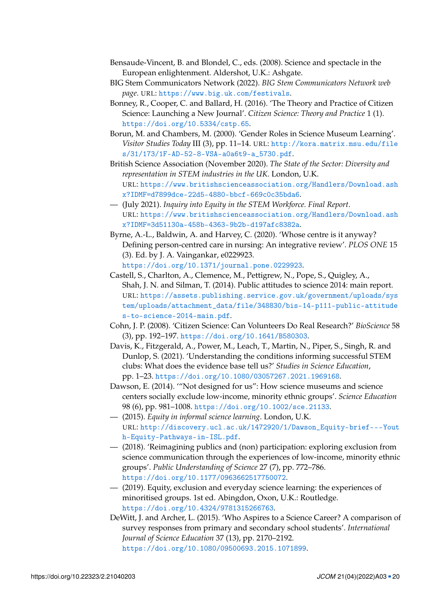- <span id="page-19-2"></span>Bensaude-Vincent, B. and Blondel, C., eds. (2008). Science and spectacle in the European enlightenment. Aldershot, U.K.: Ashgate.
- <span id="page-19-0"></span>BIG Stem Communicators Network (2022). *BIG Stem Communicators Network web page*. URL: <https://www.big.uk.com/festivals>.
- <span id="page-19-12"></span>Bonney, R., Cooper, C. and Ballard, H. (2016). 'The Theory and Practice of Citizen Science: Launching a New Journal'. *Citizen Science: Theory and Practice* 1 (1). <https://doi.org/10.5334/cstp.65>.
- <span id="page-19-9"></span>Borun, M. and Chambers, M. (2000). 'Gender Roles in Science Museum Learning'. *Visitor Studies Today* III (3), pp. 11–14. URL: [http://kora.matrix.msu.edu/file](http://kora.matrix.msu.edu/files/31/173/1F-AD-52-8-VSA-a0a6t9-a_5730.pdf) [s/31/173/1F-AD-52-8-VSA-a0a6t9-a\\_5730.pdf](http://kora.matrix.msu.edu/files/31/173/1F-AD-52-8-VSA-a0a6t9-a_5730.pdf).
- <span id="page-19-3"></span>British Science Association (November 2020). *The State of the Sector: Diversity and representation in STEM industries in the UK*. London, U.K. URL: [https://www.britishscienceassociation.org/Handlers/Download.ash](https://www.britishscienceassociation.org/Handlers/Download.ashx?IDMF=d7899dce-22d5-4880-bbcf-669c0c35bda6) [x?IDMF=d7899dce-22d5-4880-bbcf-669c0c35bda6](https://www.britishscienceassociation.org/Handlers/Download.ashx?IDMF=d7899dce-22d5-4880-bbcf-669c0c35bda6).
- <span id="page-19-4"></span>— (July 2021). *Inquiry into Equity in the STEM Workforce. Final Report*. URL: [https://www.britishscienceassociation.org/Handlers/Download.ash](https://www.britishscienceassociation.org/Handlers/Download.ashx?IDMF=3d51130a-458b-4363-9b2b-d197afc8382a) [x?IDMF=3d51130a-458b-4363-9b2b-d197afc8382a](https://www.britishscienceassociation.org/Handlers/Download.ashx?IDMF=3d51130a-458b-4363-9b2b-d197afc8382a).
- <span id="page-19-11"></span>Byrne, A.-L., Baldwin, A. and Harvey, C. (2020). 'Whose centre is it anyway? Defining person-centred care in nursing: An integrative review'. *PLOS ONE* 15 (3). Ed. by J. A. Vaingankar, e0229923.

<https://doi.org/10.1371/journal.pone.0229923>.

- <span id="page-19-14"></span>Castell, S., Charlton, A., Clemence, M., Pettigrew, N., Pope, S., Quigley, A., Shah, J. N. and Silman, T. (2014). Public attitudes to science 2014: main report. URL: [https://assets.publishing.service.gov.uk/government/uploads/sys](https://assets.publishing.service.gov.uk/government/uploads/system/uploads/attachment_data/file/348830/bis-14-p111-public-attitudes-to-science-2014-main.pdf) [tem/uploads/attachment\\_data/file/348830/bis-14-p111-public-attitude](https://assets.publishing.service.gov.uk/government/uploads/system/uploads/attachment_data/file/348830/bis-14-p111-public-attitudes-to-science-2014-main.pdf) [s-to-science-2014-main.pdf](https://assets.publishing.service.gov.uk/government/uploads/system/uploads/attachment_data/file/348830/bis-14-p111-public-attitudes-to-science-2014-main.pdf).
- <span id="page-19-13"></span>Cohn, J. P. (2008). 'Citizen Science: Can Volunteers Do Real Research?' *BioScience* 58 (3), pp. 192–197. <https://doi.org/10.1641/B580303>.
- <span id="page-19-10"></span>Davis, K., Fitzgerald, A., Power, M., Leach, T., Martin, N., Piper, S., Singh, R. and Dunlop, S. (2021). 'Understanding the conditions informing successful STEM clubs: What does the evidence base tell us?' *Studies in Science Education*, pp. 1–23. <https://doi.org/10.1080/03057267.2021.1969168>.
- <span id="page-19-6"></span>Dawson, E. (2014). '"Not designed for us": How science museums and science centers socially exclude low-income, minority ethnic groups'. *Science Education* 98 (6), pp. 981–1008. <https://doi.org/10.1002/sce.21133>.
- <span id="page-19-7"></span>— (2015). *Equity in informal science learning*. London, U.K. URL: [http://discovery.ucl.ac.uk/1472920/1/Dawson\\_Equity-brief---Yout](http://discovery.ucl.ac.uk/1472920/1/Dawson_Equity-brief---Youth-Equity-Pathways-in-ISL.pdf) [h-Equity-Pathways-in-ISL.pdf](http://discovery.ucl.ac.uk/1472920/1/Dawson_Equity-brief---Youth-Equity-Pathways-in-ISL.pdf).
- <span id="page-19-8"></span>— (2018). 'Reimagining publics and (non) participation: exploring exclusion from science communication through the experiences of low-income, minority ethnic groups'. *Public Understanding of Science* 27 (7), pp. 772–786. <https://doi.org/10.1177/0963662517750072>.
- <span id="page-19-1"></span>— (2019). Equity, exclusion and everyday science learning: the experiences of minoritised groups. 1st ed. Abingdon, Oxon, U.K.: Routledge. <https://doi.org/10.4324/9781315266763>.
- <span id="page-19-5"></span>DeWitt, J. and Archer, L. (2015). 'Who Aspires to a Science Career? A comparison of survey responses from primary and secondary school students'. *International Journal of Science Education* 37 (13), pp. 2170–2192. <https://doi.org/10.1080/09500693.2015.1071899>.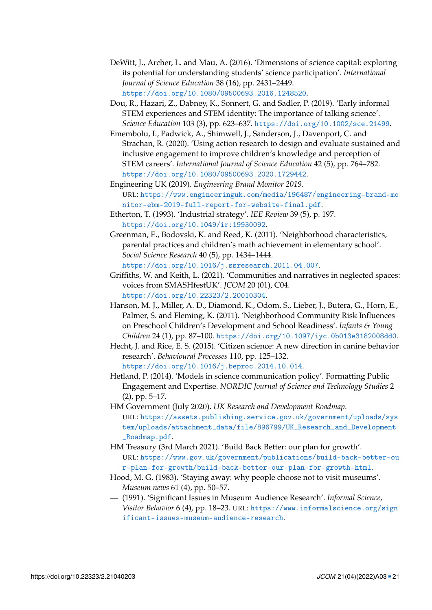- <span id="page-20-4"></span>DeWitt, J., Archer, L. and Mau, A. (2016). 'Dimensions of science capital: exploring its potential for understanding students' science participation'. *International Journal of Science Education* 38 (16), pp. 2431–2449. <https://doi.org/10.1080/09500693.2016.1248520>.
- <span id="page-20-9"></span>Dou, R., Hazari, Z., Dabney, K., Sonnert, G. and Sadler, P. (2019). 'Early informal STEM experiences and STEM identity: The importance of talking science'. *Science Education* 103 (3), pp. 623–637. <https://doi.org/10.1002/sce.21499>.
- <span id="page-20-10"></span>Emembolu, I., Padwick, A., Shimwell, J., Sanderson, J., Davenport, C. and Strachan, R. (2020). 'Using action research to design and evaluate sustained and inclusive engagement to improve children's knowledge and perception of STEM careers'. *International Journal of Science Education* 42 (5), pp. 764–782. <https://doi.org/10.1080/09500693.2020.1729442>.
- <span id="page-20-11"></span>Engineering UK (2019). *Engineering Brand Monitor 2019*. URL: [https://www.engineeringuk.com/media/196487/engineering-brand-mo](https://www.engineeringuk.com/media/196487/engineering-brand-monitor-ebm-2019-full-report-for-website-final.pdf) [nitor-ebm-2019-full-report-for-website-final.pdf](https://www.engineeringuk.com/media/196487/engineering-brand-monitor-ebm-2019-full-report-for-website-final.pdf).
- <span id="page-20-1"></span>Etherton, T. (1993). 'Industrial strategy'. *IEE Review* 39 (5), p. 197. <https://doi.org/10.1049/ir:19930092>.
- <span id="page-20-8"></span>Greenman, E., Bodovski, K. and Reed, K. (2011). 'Neighborhood characteristics, parental practices and children's math achievement in elementary school'. *Social Science Research* 40 (5), pp. 1434–1444.

<https://doi.org/10.1016/j.ssresearch.2011.04.007>.

- <span id="page-20-13"></span>Griffiths, W. and Keith, L. (2021). 'Communities and narratives in neglected spaces: voices from SMASHfestUK'. *JCOM* 20 (01), C04. <https://doi.org/10.22323/2.20010304>.
- <span id="page-20-7"></span>Hanson, M. J., Miller, A. D., Diamond, K., Odom, S., Lieber, J., Butera, G., Horn, E., Palmer, S. and Fleming, K. (2011). 'Neighborhood Community Risk Influences on Preschool Children's Development and School Readiness'. *Infants & Young Children* 24 (1), pp. 87–100. <https://doi.org/10.1097/iyc.0b013e3182008dd0>.
- <span id="page-20-12"></span>Hecht, J. and Rice, E. S. (2015). 'Citizen science: A new direction in canine behavior research'. *Behavioural Processes* 110, pp. 125–132.

<https://doi.org/10.1016/j.beproc.2014.10.014>.

- <span id="page-20-0"></span>Hetland, P. (2014). 'Models in science communication policy'. Formatting Public Engagement and Expertise. *NORDIC Journal of Science and Technology Studies* 2 (2), pp. 5–17.
- <span id="page-20-2"></span>HM Government (July 2020). *UK Research and Development Roadmap*. URL: [https://assets.publishing.service.gov.uk/government/uploads/sys](https://assets.publishing.service.gov.uk/government/uploads/system/uploads/attachment_data/file/896799/UK_Research_and_Development_Roadmap.pdf) [tem/uploads/attachment\\_data/file/896799/UK\\_Research\\_and\\_Development](https://assets.publishing.service.gov.uk/government/uploads/system/uploads/attachment_data/file/896799/UK_Research_and_Development_Roadmap.pdf) [\\_Roadmap.pdf](https://assets.publishing.service.gov.uk/government/uploads/system/uploads/attachment_data/file/896799/UK_Research_and_Development_Roadmap.pdf).
- <span id="page-20-3"></span>HM Treasury (3rd March 2021). 'Build Back Better: our plan for growth'. URL: [https://www.gov.uk/government/publications/build-back-better-ou](https://www.gov.uk/government/publications/build-back-better-our-plan-for-growth/build-back-better-our-plan-for-growth-html) [r-plan-for-growth/build-back-better-our-plan-for-growth-html](https://www.gov.uk/government/publications/build-back-better-our-plan-for-growth/build-back-better-our-plan-for-growth-html).
- <span id="page-20-5"></span>Hood, M. G. (1983). 'Staying away: why people choose not to visit museums'. *Museum news* 61 (4), pp. 50–57.
- <span id="page-20-6"></span>— (1991). 'Significant Issues in Museum Audience Research'. *Informal Science, Visitor Behavior* 6 (4), pp. 18–23. URL: [https://www.informalscience.org/sign](https://www.informalscience.org/significant-issues-museum-audience-research) [ificant-issues-museum-audience-research](https://www.informalscience.org/significant-issues-museum-audience-research).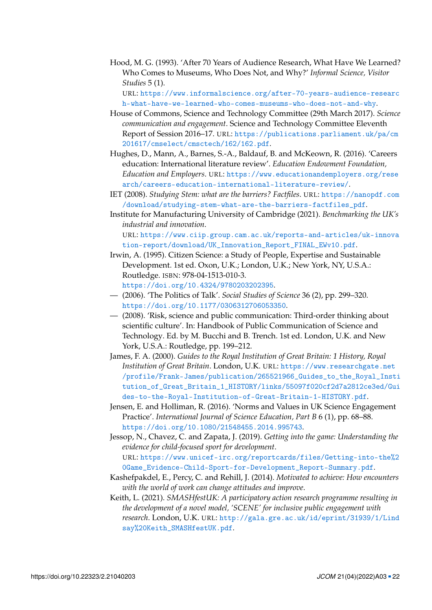<span id="page-21-5"></span>Hood, M. G. (1993). 'After 70 Years of Audience Research, What Have We Learned? Who Comes to Museums, Who Does Not, and Why?' *Informal Science, Visitor Studies* 5 (1).

URL: [https://www.informalscience.org/after-70-years-audience-researc](https://www.informalscience.org/after-70-years-audience-research-what-have-we-learned-who-comes-museums-who-does-not-and-why) [h-what-have-we-learned-who-comes-museums-who-does-not-and-why](https://www.informalscience.org/after-70-years-audience-research-what-have-we-learned-who-comes-museums-who-does-not-and-why).

- <span id="page-21-4"></span>House of Commons, Science and Technology Committee (29th March 2017). *Science communication and engagement*. Science and Technology Committee Eleventh Report of Session 2016–17. URL: [https://publications.parliament.uk/pa/cm](https://publications.parliament.uk/pa/cm201617/cmselect/cmsctech/162/162.pdf) [201617/cmselect/cmsctech/162/162.pdf](https://publications.parliament.uk/pa/cm201617/cmselect/cmsctech/162/162.pdf).
- <span id="page-21-7"></span>Hughes, D., Mann, A., Barnes, S.-A., Baldauf, B. and McKeown, R. (2016). 'Careers education: International literature review'. *Education Endowment Foundation, Education and Employers*. URL: [https://www.educationandemployers.org/rese](https://www.educationandemployers.org/research/careers-education-international-literature-review/) [arch/careers-education-international-literature-review/](https://www.educationandemployers.org/research/careers-education-international-literature-review/).
- <span id="page-21-3"></span>IET (2008). *Studying Stem: what are the barriers? Factfiles*. URL: [https://nanopdf.com](https://nanopdf.com/download/studying-stem-what-are-the-barriers-factfiles_pdf) [/download/studying-stem-what-are-the-barriers-factfiles\\_pdf](https://nanopdf.com/download/studying-stem-what-are-the-barriers-factfiles_pdf).
- <span id="page-21-2"></span>Institute for Manufacturing University of Cambridge (2021). *Benchmarking the UK's industrial and innovation*. URL: [https://www.ciip.group.cam.ac.uk/reports-and-articles/uk-innova](https://www.ciip.group.cam.ac.uk/reports-and-articles/uk-innovation-report/download/UK_Innovation_Report_FINAL_EWv10.pdf) [tion-report/download/UK\\_Innovation\\_Report\\_FINAL\\_EWv10.pdf](https://www.ciip.group.cam.ac.uk/reports-and-articles/uk-innovation-report/download/UK_Innovation_Report_FINAL_EWv10.pdf).
- <span id="page-21-8"></span>Irwin, A. (1995). Citizen Science: a Study of People, Expertise and Sustainable Development. 1st ed. Oxon, U.K.; London, U.K.; New York, NY, U.S.A.: Routledge. ISBN: 978-04-1513-010-3. <https://doi.org/10.4324/9780203202395>.
- <span id="page-21-9"></span>— (2006). 'The Politics of Talk'. *Social Studies of Science* 36 (2), pp. 299–320. <https://doi.org/10.1177/0306312706053350>.
- <span id="page-21-10"></span>— (2008). 'Risk, science and public communication: Third-order thinking about scientific culture'. In: Handbook of Public Communication of Science and Technology. Ed. by M. Bucchi and B. Trench. 1st ed. London, U.K. and New York, U.S.A.: Routledge, pp. 199–212.
- <span id="page-21-1"></span>James, F. A. (2000). *Guides to the Royal Institution of Great Britain: 1 History, Royal Institution of Great Britain*. London, U.K. URL: [https://www.researchgate.net](https://www.researchgate.net/profile/Frank-James/publication/265521966_Guides_to_the_Royal_Institution_of_Great_Britain_1_HISTORY/links/55097f020cf2d7a2812ce3ed/Guides-to-the-Royal-Institution-of-Great-Britain-1-HISTORY.pdf) [/profile/Frank-James/publication/265521966\\_Guides\\_to\\_the\\_Royal\\_Insti](https://www.researchgate.net/profile/Frank-James/publication/265521966_Guides_to_the_Royal_Institution_of_Great_Britain_1_HISTORY/links/55097f020cf2d7a2812ce3ed/Guides-to-the-Royal-Institution-of-Great-Britain-1-HISTORY.pdf) [tution\\_of\\_Great\\_Britain\\_1\\_HISTORY/links/55097f020cf2d7a2812ce3ed/Gui](https://www.researchgate.net/profile/Frank-James/publication/265521966_Guides_to_the_Royal_Institution_of_Great_Britain_1_HISTORY/links/55097f020cf2d7a2812ce3ed/Guides-to-the-Royal-Institution-of-Great-Britain-1-HISTORY.pdf) [des-to-the-Royal-Institution-of-Great-Britain-1-HISTORY.pdf](https://www.researchgate.net/profile/Frank-James/publication/265521966_Guides_to_the_Royal_Institution_of_Great_Britain_1_HISTORY/links/55097f020cf2d7a2812ce3ed/Guides-to-the-Royal-Institution-of-Great-Britain-1-HISTORY.pdf).
- <span id="page-21-0"></span>Jensen, E. and Holliman, R. (2016). 'Norms and Values in UK Science Engagement Practice'. *International Journal of Science Education, Part B* 6 (1), pp. 68–88. <https://doi.org/10.1080/21548455.2014.995743>.
- <span id="page-21-12"></span>Jessop, N., Chavez, C. and Zapata, J. (2019). *Getting into the game: Understanding the evidence for child-focused sport for development*. URL: [https://www.unicef-irc.org/reportcards/files/Getting-into-the%2](https://www.unicef-irc.org/reportcards/files/Getting-into-the%20Game_Evidence-Child-Sport-for-Development_Report-Summary.pdf) [0Game\\_Evidence-Child-Sport-for-Development\\_Report-Summary.pdf](https://www.unicef-irc.org/reportcards/files/Getting-into-the%20Game_Evidence-Child-Sport-for-Development_Report-Summary.pdf).
- <span id="page-21-6"></span>Kashefpakdel, E., Percy, C. and Rehill, J. (2014). *Motivated to achieve: How encounters with the world of work can change attitudes and improve*.
- <span id="page-21-11"></span>Keith, L. (2021). *SMASHfestUK: A participatory action research programme resulting in the development of a novel model, 'SCENE' for inclusive public engagement with research*. London, U.K. URL: [http://gala.gre.ac.uk/id/eprint/31939/1/Lind](http://gala.gre.ac.uk/id/eprint/31939/1/Lindsay%20Keith_SMASHfestUK.pdf) [say%20Keith\\_SMASHfestUK.pdf](http://gala.gre.ac.uk/id/eprint/31939/1/Lindsay%20Keith_SMASHfestUK.pdf).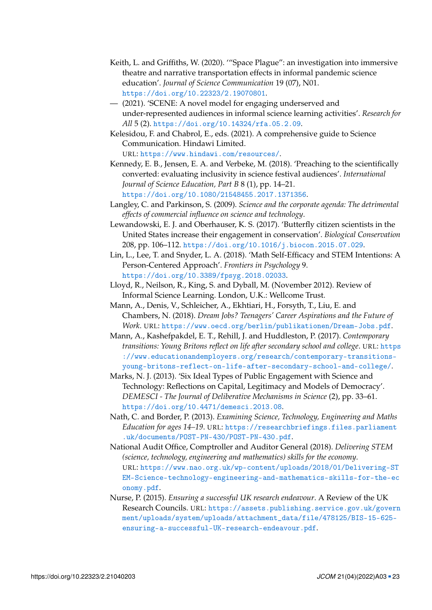- <span id="page-22-10"></span>Keith, L. and Griffiths, W. (2020). '"Space Plague": an investigation into immersive theatre and narrative transportation effects in informal pandemic science education'. *Journal of Science Communication* 19 (07), N01. <https://doi.org/10.22323/2.19070801>.
- <span id="page-22-11"></span>— (2021). 'SCENE: A novel model for engaging underserved and under-represented audiences in informal science learning activities'. *Research for All* 5 (2). <https://doi.org/10.14324/rfa.05.2.09>.
- <span id="page-22-9"></span>Kelesidou, F. and Chabrol, E., eds. (2021). A comprehensive guide to Science Communication. Hindawi Limited.

URL: <https://www.hindawi.com/resources/>.

- <span id="page-22-0"></span>Kennedy, E. B., Jensen, E. A. and Verbeke, M. (2018). 'Preaching to the scientifically converted: evaluating inclusivity in science festival audiences'. *International Journal of Science Education, Part B* 8 (1), pp. 14–21. <https://doi.org/10.1080/21548455.2017.1371356>.
- <span id="page-22-4"></span>Langley, C. and Parkinson, S. (2009). *Science and the corporate agenda: The detrimental effects of commercial influence on science and technology*.
- <span id="page-22-8"></span>Lewandowski, E. J. and Oberhauser, K. S. (2017). 'Butterfly citizen scientists in the United States increase their engagement in conservation'. *Biological Conservation* 208, pp. 106–112. <https://doi.org/10.1016/j.biocon.2015.07.029>.
- <span id="page-22-7"></span>Lin, L., Lee, T. and Snyder, L. A. (2018). 'Math Self-Efficacy and STEM Intentions: A Person-Centered Approach'. *Frontiers in Psychology* 9. <https://doi.org/10.3389/fpsyg.2018.02033>.
- <span id="page-22-13"></span>Lloyd, R., Neilson, R., King, S. and Dyball, M. (November 2012). Review of Informal Science Learning. London, U.K.: Wellcome Trust.
- <span id="page-22-5"></span>Mann, A., Denis, V., Schleicher, A., Ekhtiari, H., Forsyth, T., Liu, E. and Chambers, N. (2018). *Dream Jobs? Teenagers' Career Aspirations and the Future of Work*. URL: <https://www.oecd.org/berlin/publikationen/Dream-Jobs.pdf>.
- <span id="page-22-6"></span>Mann, A., Kashefpakdel, E. T., Rehill, J. and Huddleston, P. (2017). *Contemporary transitions: Young Britons reflect on life after secondary school and college*. URL: [https](https://www.educationandemployers.org/research/contemporary-transitions-young-britons-reflect-on-life-after-secondary-school-and-college/) [://www.educationandemployers.org/research/contemporary-transitions](https://www.educationandemployers.org/research/contemporary-transitions-young-britons-reflect-on-life-after-secondary-school-and-college/)[young-britons-reflect-on-life-after-secondary-school-and-college/](https://www.educationandemployers.org/research/contemporary-transitions-young-britons-reflect-on-life-after-secondary-school-and-college/).
- <span id="page-22-1"></span>Marks, N. J. (2013). 'Six Ideal Types of Public Engagement with Science and Technology: Reflections on Capital, Legitimacy and Models of Democracy'. *DEMESCI - The Journal of Deliberative Mechanisms in Science* (2), pp. 33–61. <https://doi.org/10.4471/demesci.2013.08>.
- <span id="page-22-12"></span>Nath, C. and Border, P. (2013). *Examining Science, Technology, Engineering and Maths Education for ages 14–19*. URL: [https://researchbriefings.files.parliament](https://researchbriefings.files.parliament.uk/documents/POST-PN-430/POST-PN-430.pdf) [.uk/documents/POST-PN-430/POST-PN-430.pdf](https://researchbriefings.files.parliament.uk/documents/POST-PN-430/POST-PN-430.pdf).
- <span id="page-22-3"></span>National Audit Office, Comptroller and Auditor General (2018). *Delivering STEM (science, technology, engineering and mathematics) skills for the economy*. URL: [https://www.nao.org.uk/wp-content/uploads/2018/01/Delivering-ST](https://www.nao.org.uk/wp-content/uploads/2018/01/Delivering-STEM-Science-technology-engineering-and-mathematics-skills-for-the-economy.pdf) [EM-Science-technology-engineering-and-mathematics-skills-for-the-ec](https://www.nao.org.uk/wp-content/uploads/2018/01/Delivering-STEM-Science-technology-engineering-and-mathematics-skills-for-the-economy.pdf) [onomy.pdf](https://www.nao.org.uk/wp-content/uploads/2018/01/Delivering-STEM-Science-technology-engineering-and-mathematics-skills-for-the-economy.pdf).
- <span id="page-22-2"></span>Nurse, P. (2015). *Ensuring a successful UK research endeavour*. A Review of the UK Research Councils. URL: [https://assets.publishing.service.gov.uk/govern](https://assets.publishing.service.gov.uk/government/uploads/system/uploads/attachment_data/file/478125/BIS-15-625-ensuring-a-successful-UK-research-endeavour.pdf) [ment/uploads/system/uploads/attachment\\_data/file/478125/BIS-15-625](https://assets.publishing.service.gov.uk/government/uploads/system/uploads/attachment_data/file/478125/BIS-15-625-ensuring-a-successful-UK-research-endeavour.pdf) [ensuring-a-successful-UK-research-endeavour.pdf](https://assets.publishing.service.gov.uk/government/uploads/system/uploads/attachment_data/file/478125/BIS-15-625-ensuring-a-successful-UK-research-endeavour.pdf).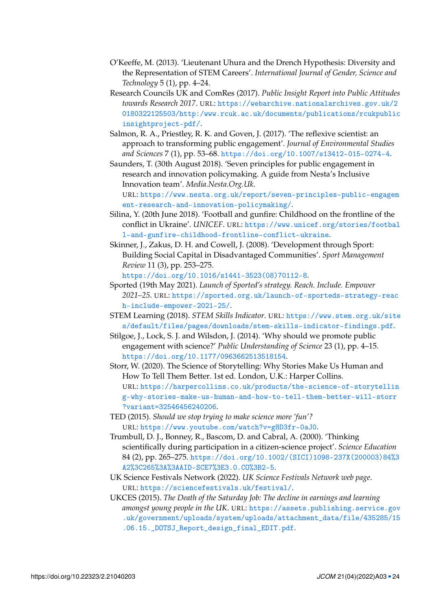- <span id="page-23-6"></span>O'Keeffe, M. (2013). 'Lieutenant Uhura and the Drench Hypothesis: Diversity and the Representation of STEM Careers'. *International Journal of Gender, Science and Technology* 5 (1), pp. 4–24.
- <span id="page-23-10"></span>Research Councils UK and ComRes (2017). *Public Insight Report into Public Attitudes towards Research 2017*. URL: [https://webarchive.nationalarchives.gov.uk/2](https://webarchive.nationalarchives.gov.uk/20180322125503/http:/www.rcuk.ac.uk/documents/publications/rcukpublicinsightproject-pdf/) [0180322125503/http:/www.rcuk.ac.uk/documents/publications/rcukpublic](https://webarchive.nationalarchives.gov.uk/20180322125503/http:/www.rcuk.ac.uk/documents/publications/rcukpublicinsightproject-pdf/) [insightproject-pdf/](https://webarchive.nationalarchives.gov.uk/20180322125503/http:/www.rcuk.ac.uk/documents/publications/rcukpublicinsightproject-pdf/).
- <span id="page-23-3"></span>Salmon, R. A., Priestley, R. K. and Goven, J. (2017). 'The reflexive scientist: an approach to transforming public engagement'. *Journal of Environmental Studies and Sciences* 7 (1), pp. 53–68. <https://doi.org/10.1007/s13412-015-0274-4>.
- <span id="page-23-2"></span>Saunders, T. (30th August 2018). 'Seven principles for public engagement in research and innovation policymaking. A guide from Nesta's Inclusive Innovation team'. *Media.Nesta.Org.Uk*.

URL: [https://www.nesta.org.uk/report/seven-principles-public-engagem](https://www.nesta.org.uk/report/seven-principles-public-engagement-research-and-innovation-policymaking/) [ent-research-and-innovation-policymaking/](https://www.nesta.org.uk/report/seven-principles-public-engagement-research-and-innovation-policymaking/).

- <span id="page-23-11"></span>Silina, Y. (20th June 2018). 'Football and gunfire: Childhood on the frontline of the conflict in Ukraine'. *UNICEF*. URL: [https://www.unicef.org/stories/footbal](https://www.unicef.org/stories/football-and-gunfire-childhood-frontline-conflict-ukraine) [l-and-gunfire-childhood-frontline-conflict-ukraine](https://www.unicef.org/stories/football-and-gunfire-childhood-frontline-conflict-ukraine).
- <span id="page-23-13"></span>Skinner, J., Zakus, D. H. and Cowell, J. (2008). 'Development through Sport: Building Social Capital in Disadvantaged Communities'. *Sport Management Review* 11 (3), pp. 253–275. [https://doi.org/10.1016/s1441-3523\(08\)70112-8](https://doi.org/10.1016/s1441-3523(08)70112-8).
- <span id="page-23-12"></span>Sported (19th May 2021). *Launch of Sported's strategy. Reach. Include. Empower 2021–25*. URL: [https://sported.org.uk/launch-of-sporteds-strategy-reac](https://sported.org.uk/launch-of-sporteds-strategy-reach-include-empower-2021-25/) [h-include-empower-2021-25/](https://sported.org.uk/launch-of-sporteds-strategy-reach-include-empower-2021-25/).
- <span id="page-23-4"></span>STEM Learning (2018). *STEM Skills Indicator*. URL: [https://www.stem.org.uk/site](https://www.stem.org.uk/sites/default/files/pages/downloads/stem-skills-indicator-findings.pdf) [s/default/files/pages/downloads/stem-skills-indicator-findings.pdf](https://www.stem.org.uk/sites/default/files/pages/downloads/stem-skills-indicator-findings.pdf).
- <span id="page-23-1"></span>Stilgoe, J., Lock, S. J. and Wilsdon, J. (2014). 'Why should we promote public engagement with science?' *Public Understanding of Science* 23 (1), pp. 4–15. <https://doi.org/10.1177/0963662513518154>.
- <span id="page-23-9"></span>Storr, W. (2020). The Science of Storytelling: Why Stories Make Us Human and How To Tell Them Better. 1st ed. London, U.K.: Harper Collins. URL: [https://harpercollins.co.uk/products/the-science-of-storytellin](https://harpercollins.co.uk/products/the-science-of-storytelling-why-stories-make-us-human-and-how-to-tell-them-better-will-storr?variant=32546456240206) [g-why-stories-make-us-human-and-how-to-tell-them-better-will-storr](https://harpercollins.co.uk/products/the-science-of-storytelling-why-stories-make-us-human-and-how-to-tell-them-better-will-storr?variant=32546456240206) [?variant=32546456240206](https://harpercollins.co.uk/products/the-science-of-storytelling-why-stories-make-us-human-and-how-to-tell-them-better-will-storr?variant=32546456240206).
- <span id="page-23-5"></span>TED (2015). *Should we stop trying to make science more 'fun'?* URL: <https://www.youtube.com/watch?v=g8D3fr-0aJ0>.
- <span id="page-23-8"></span>Trumbull, D. J., Bonney, R., Bascom, D. and Cabral, A. (2000). 'Thinking scientifically during participation in a citizen-science project'. *Science Education* 84 (2), pp. 265–275. [https://doi.org/10.1002/\(SICI\)1098-237X\(200003\)84%3](https://doi.org/10.1002/(SICI)1098-237X(200003)84%3A2%3C265%3A%3AAID-SCE7%3E3.0.CO%3B2-5) [A2%3C265%3A%3AAID-SCE7%3E3.0.CO%3B2-5](https://doi.org/10.1002/(SICI)1098-237X(200003)84%3A2%3C265%3A%3AAID-SCE7%3E3.0.CO%3B2-5).
- <span id="page-23-0"></span>UK Science Festivals Network (2022). *UK Science Festivals Network web page*. URL: <https://sciencefestivals.uk/festival/>.
- <span id="page-23-7"></span>UKCES (2015). *The Death of the Saturday Job: The decline in earnings and learning amongst young people in the UK*. URL: [https://assets.publishing.service.gov](https://assets.publishing.service.gov.uk/government/uploads/system/uploads/attachment_data/file/435285/15.06.15._DOTSJ_Report_design_final_EDIT.pdf) [.uk/government/uploads/system/uploads/attachment\\_data/file/435285/15](https://assets.publishing.service.gov.uk/government/uploads/system/uploads/attachment_data/file/435285/15.06.15._DOTSJ_Report_design_final_EDIT.pdf) [.06.15.\\_DOTSJ\\_Report\\_design\\_final\\_EDIT.pdf](https://assets.publishing.service.gov.uk/government/uploads/system/uploads/attachment_data/file/435285/15.06.15._DOTSJ_Report_design_final_EDIT.pdf).